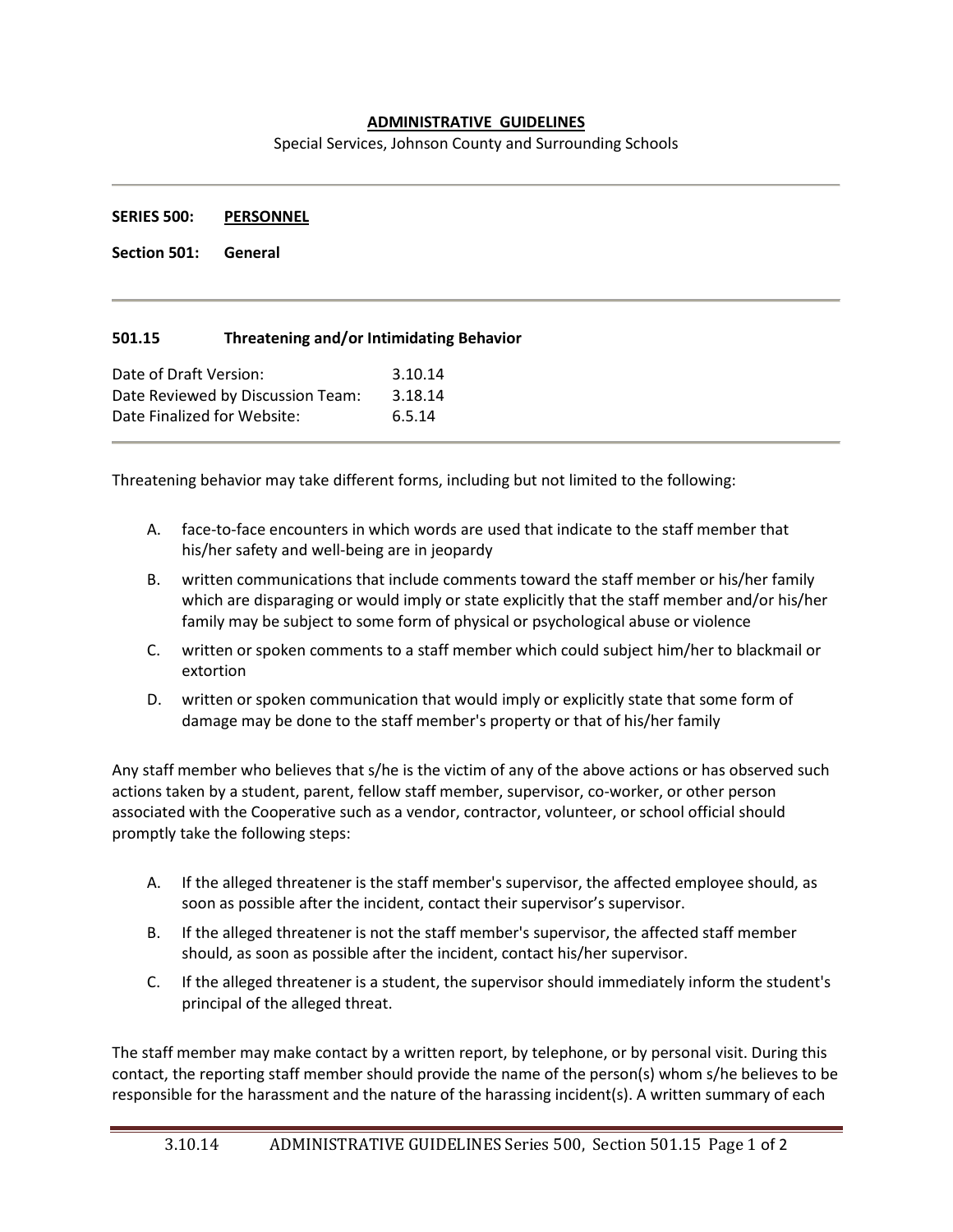## **ADMINISTRATIVE GUIDELINES**

Special Services, Johnson County and Surrounding Schools

**SERIES 500: PERSONNEL**

**Section 501: General**

## **501.15 Threatening and/or Intimidating Behavior**

| Date of Draft Version:            | 3.10.14 |
|-----------------------------------|---------|
| Date Reviewed by Discussion Team: | 3.18.14 |
| Date Finalized for Website:       | 6.5.14  |

Threatening behavior may take different forms, including but not limited to the following:

- A. face-to-face encounters in which words are used that indicate to the staff member that his/her safety and well-being are in jeopardy
- B. written communications that include comments toward the staff member or his/her family which are disparaging or would imply or state explicitly that the staff member and/or his/her family may be subject to some form of physical or psychological abuse or violence
- C. written or spoken comments to a staff member which could subject him/her to blackmail or extortion
- D. written or spoken communication that would imply or explicitly state that some form of damage may be done to the staff member's property or that of his/her family

Any staff member who believes that s/he is the victim of any of the above actions or has observed such actions taken by a student, parent, fellow staff member, supervisor, co-worker, or other person associated with the Cooperative such as a vendor, contractor, volunteer, or school official should promptly take the following steps:

- A. If the alleged threatener is the staff member's supervisor, the affected employee should, as soon as possible after the incident, contact their supervisor's supervisor.
- B. If the alleged threatener is not the staff member's supervisor, the affected staff member should, as soon as possible after the incident, contact his/her supervisor.
- C. If the alleged threatener is a student, the supervisor should immediately inform the student's principal of the alleged threat.

The staff member may make contact by a written report, by telephone, or by personal visit. During this contact, the reporting staff member should provide the name of the person(s) whom s/he believes to be responsible for the harassment and the nature of the harassing incident(s). A written summary of each